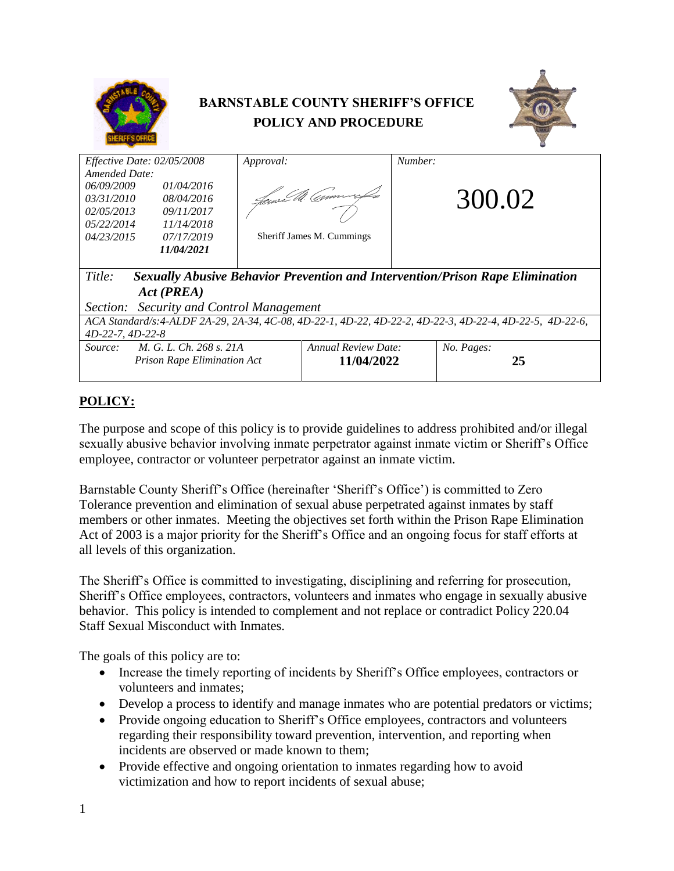

# **POLICY:**

The purpose and scope of this policy is to provide guidelines to address prohibited and/or illegal sexually abusive behavior involving inmate perpetrator against inmate victim or Sheriff's Office employee, contractor or volunteer perpetrator against an inmate victim.

Barnstable County Sheriff's Office (hereinafter 'Sheriff's Office') is committed to Zero Tolerance prevention and elimination of sexual abuse perpetrated against inmates by staff members or other inmates. Meeting the objectives set forth within the Prison Rape Elimination Act of 2003 is a major priority for the Sheriff's Office and an ongoing focus for staff efforts at all levels of this organization.

The Sheriff's Office is committed to investigating, disciplining and referring for prosecution, Sheriff's Office employees, contractors, volunteers and inmates who engage in sexually abusive behavior. This policy is intended to complement and not replace or contradict Policy 220.04 Staff Sexual Misconduct with Inmates.

The goals of this policy are to:

- Increase the timely reporting of incidents by Sheriff's Office employees, contractors or volunteers and inmates;
- Develop a process to identify and manage inmates who are potential predators or victims;
- Provide ongoing education to Sheriff's Office employees, contractors and volunteers regarding their responsibility toward prevention, intervention, and reporting when incidents are observed or made known to them;
- Provide effective and ongoing orientation to inmates regarding how to avoid victimization and how to report incidents of sexual abuse;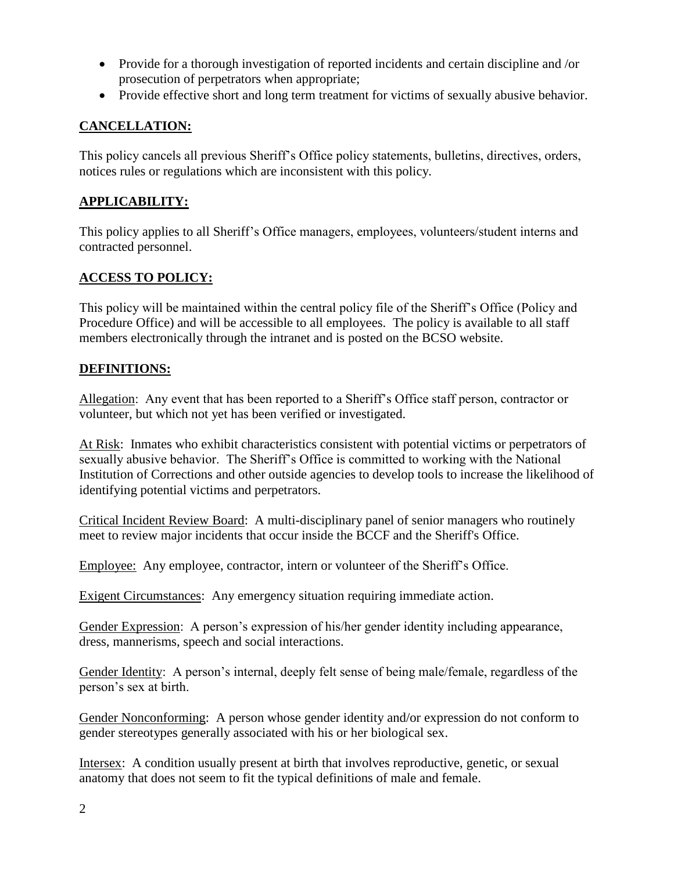- Provide for a thorough investigation of reported incidents and certain discipline and /or prosecution of perpetrators when appropriate;
- Provide effective short and long term treatment for victims of sexually abusive behavior.

### **CANCELLATION:**

This policy cancels all previous Sheriff's Office policy statements, bulletins, directives, orders, notices rules or regulations which are inconsistent with this policy.

### **APPLICABILITY:**

This policy applies to all Sheriff's Office managers, employees, volunteers/student interns and contracted personnel.

### **ACCESS TO POLICY:**

This policy will be maintained within the central policy file of the Sheriff's Office (Policy and Procedure Office) and will be accessible to all employees. The policy is available to all staff members electronically through the intranet and is posted on the BCSO website.

### **DEFINITIONS:**

Allegation: Any event that has been reported to a Sheriff's Office staff person, contractor or volunteer, but which not yet has been verified or investigated.

At Risk: Inmates who exhibit characteristics consistent with potential victims or perpetrators of sexually abusive behavior. The Sheriff's Office is committed to working with the National Institution of Corrections and other outside agencies to develop tools to increase the likelihood of identifying potential victims and perpetrators.

Critical Incident Review Board: A multi-disciplinary panel of senior managers who routinely meet to review major incidents that occur inside the BCCF and the Sheriff's Office.

Employee: Any employee, contractor, intern or volunteer of the Sheriff's Office.

Exigent Circumstances: Any emergency situation requiring immediate action.

Gender Expression: A person's expression of his/her gender identity including appearance, dress, mannerisms, speech and social interactions.

Gender Identity: A person's internal, deeply felt sense of being male/female, regardless of the person's sex at birth.

Gender Nonconforming: A person whose gender identity and/or expression do not conform to gender stereotypes generally associated with his or her biological sex.

Intersex: A condition usually present at birth that involves reproductive, genetic, or sexual anatomy that does not seem to fit the typical definitions of male and female.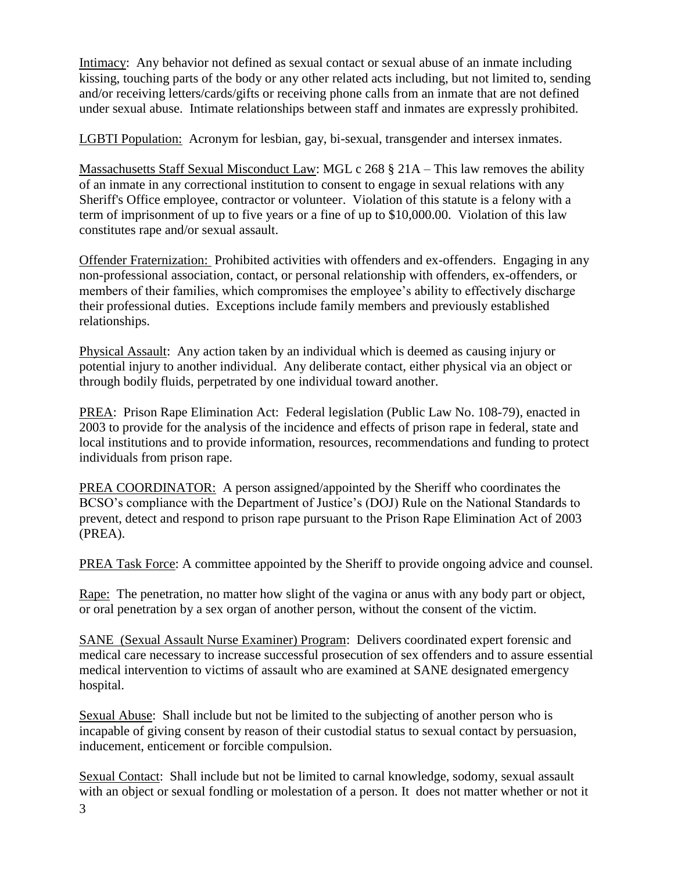Intimacy: Any behavior not defined as sexual contact or sexual abuse of an inmate including kissing, touching parts of the body or any other related acts including, but not limited to, sending and/or receiving letters/cards/gifts or receiving phone calls from an inmate that are not defined under sexual abuse. Intimate relationships between staff and inmates are expressly prohibited.

LGBTI Population: Acronym for lesbian, gay, bi-sexual, transgender and intersex inmates.

Massachusetts Staff Sexual Misconduct Law: MGL c 268 § 21A – This law removes the ability of an inmate in any correctional institution to consent to engage in sexual relations with any Sheriff's Office employee, contractor or volunteer. Violation of this statute is a felony with a term of imprisonment of up to five years or a fine of up to \$10,000.00. Violation of this law constitutes rape and/or sexual assault.

Offender Fraternization: Prohibited activities with offenders and ex-offenders. Engaging in any non-professional association, contact, or personal relationship with offenders, ex-offenders, or members of their families, which compromises the employee's ability to effectively discharge their professional duties. Exceptions include family members and previously established relationships.

Physical Assault: Any action taken by an individual which is deemed as causing injury or potential injury to another individual. Any deliberate contact, either physical via an object or through bodily fluids, perpetrated by one individual toward another.

PREA: Prison Rape Elimination Act: Federal legislation (Public Law No. 108-79), enacted in 2003 to provide for the analysis of the incidence and effects of prison rape in federal, state and local institutions and to provide information, resources, recommendations and funding to protect individuals from prison rape.

PREA COORDINATOR: A person assigned/appointed by the Sheriff who coordinates the BCSO's compliance with the Department of Justice's (DOJ) Rule on the National Standards to prevent, detect and respond to prison rape pursuant to the Prison Rape Elimination Act of 2003 (PREA).

PREA Task Force: A committee appointed by the Sheriff to provide ongoing advice and counsel.

Rape: The penetration, no matter how slight of the vagina or anus with any body part or object, or oral penetration by a sex organ of another person, without the consent of the victim.

SANE (Sexual Assault Nurse Examiner) Program: Delivers coordinated expert forensic and medical care necessary to increase successful prosecution of sex offenders and to assure essential medical intervention to victims of assault who are examined at SANE designated emergency hospital.

Sexual Abuse: Shall include but not be limited to the subjecting of another person who is incapable of giving consent by reason of their custodial status to sexual contact by persuasion, inducement, enticement or forcible compulsion.

3 Sexual Contact: Shall include but not be limited to carnal knowledge, sodomy, sexual assault with an object or sexual fondling or molestation of a person. It does not matter whether or not it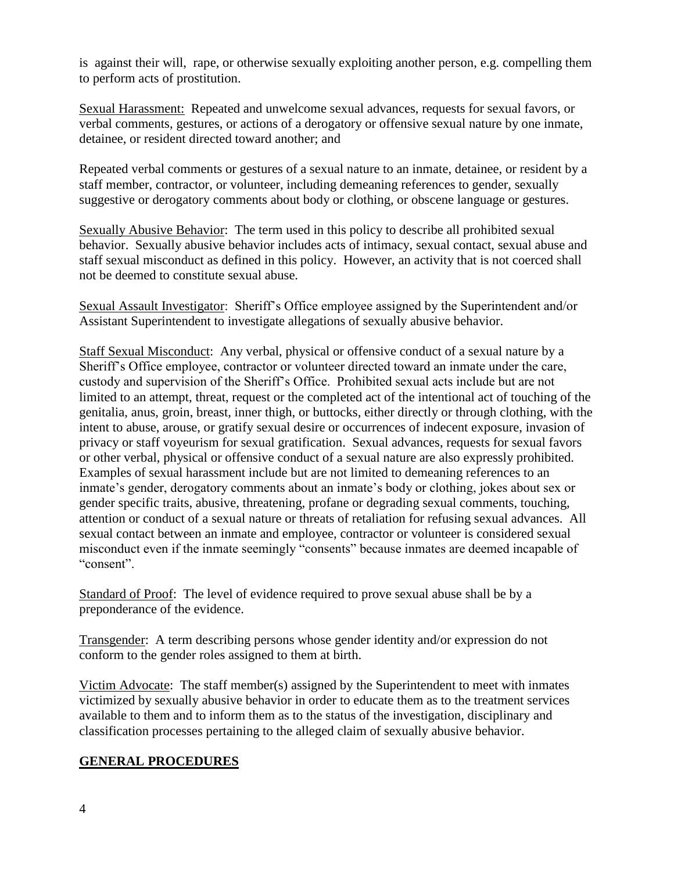is against their will, rape, or otherwise sexually exploiting another person, e.g. compelling them to perform acts of prostitution.

Sexual Harassment: Repeated and unwelcome sexual advances, requests for sexual favors, or verbal comments, gestures, or actions of a derogatory or offensive sexual nature by one inmate, detainee, or resident directed toward another; and

Repeated verbal comments or gestures of a sexual nature to an inmate, detainee, or resident by a staff member, contractor, or volunteer, including demeaning references to gender, sexually suggestive or derogatory comments about body or clothing, or obscene language or gestures.

Sexually Abusive Behavior: The term used in this policy to describe all prohibited sexual behavior. Sexually abusive behavior includes acts of intimacy, sexual contact, sexual abuse and staff sexual misconduct as defined in this policy. However, an activity that is not coerced shall not be deemed to constitute sexual abuse.

Sexual Assault Investigator: Sheriff's Office employee assigned by the Superintendent and/or Assistant Superintendent to investigate allegations of sexually abusive behavior.

Staff Sexual Misconduct: Any verbal, physical or offensive conduct of a sexual nature by a Sheriff's Office employee, contractor or volunteer directed toward an inmate under the care, custody and supervision of the Sheriff's Office. Prohibited sexual acts include but are not limited to an attempt, threat, request or the completed act of the intentional act of touching of the genitalia, anus, groin, breast, inner thigh, or buttocks, either directly or through clothing, with the intent to abuse, arouse, or gratify sexual desire or occurrences of indecent exposure, invasion of privacy or staff voyeurism for sexual gratification. Sexual advances, requests for sexual favors or other verbal, physical or offensive conduct of a sexual nature are also expressly prohibited. Examples of sexual harassment include but are not limited to demeaning references to an inmate's gender, derogatory comments about an inmate's body or clothing, jokes about sex or gender specific traits, abusive, threatening, profane or degrading sexual comments, touching, attention or conduct of a sexual nature or threats of retaliation for refusing sexual advances. All sexual contact between an inmate and employee, contractor or volunteer is considered sexual misconduct even if the inmate seemingly "consents" because inmates are deemed incapable of "consent".

Standard of Proof: The level of evidence required to prove sexual abuse shall be by a preponderance of the evidence.

Transgender: A term describing persons whose gender identity and/or expression do not conform to the gender roles assigned to them at birth.

Victim Advocate: The staff member(s) assigned by the Superintendent to meet with inmates victimized by sexually abusive behavior in order to educate them as to the treatment services available to them and to inform them as to the status of the investigation, disciplinary and classification processes pertaining to the alleged claim of sexually abusive behavior.

# **GENERAL PROCEDURES**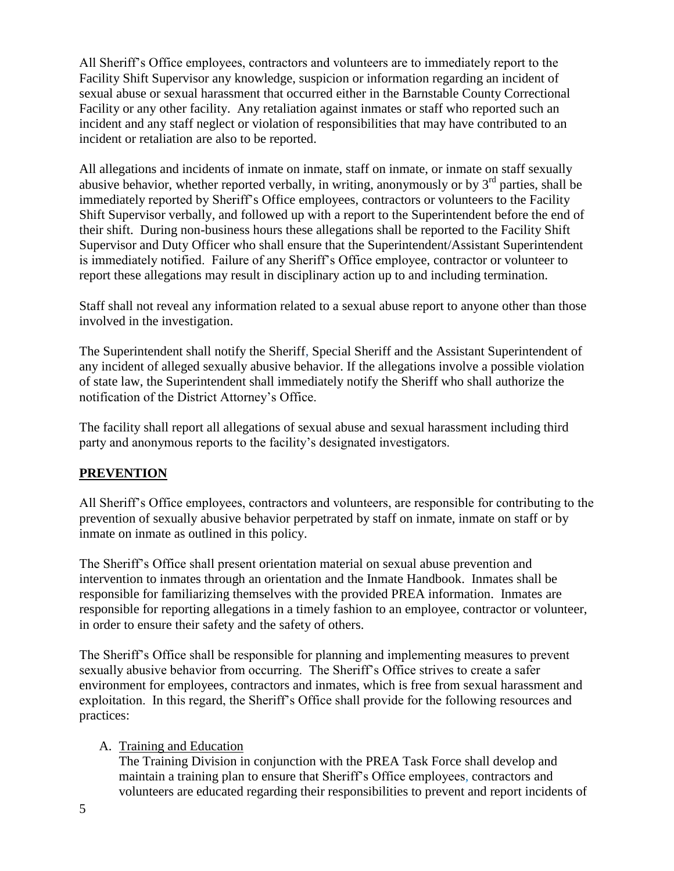All Sheriff's Office employees, contractors and volunteers are to immediately report to the Facility Shift Supervisor any knowledge, suspicion or information regarding an incident of sexual abuse or sexual harassment that occurred either in the Barnstable County Correctional Facility or any other facility. Any retaliation against inmates or staff who reported such an incident and any staff neglect or violation of responsibilities that may have contributed to an incident or retaliation are also to be reported.

All allegations and incidents of inmate on inmate, staff on inmate, or inmate on staff sexually abusive behavior, whether reported verbally, in writing, anonymously or by  $3<sup>rd</sup>$  parties, shall be immediately reported by Sheriff's Office employees, contractors or volunteers to the Facility Shift Supervisor verbally, and followed up with a report to the Superintendent before the end of their shift. During non-business hours these allegations shall be reported to the Facility Shift Supervisor and Duty Officer who shall ensure that the Superintendent/Assistant Superintendent is immediately notified. Failure of any Sheriff's Office employee, contractor or volunteer to report these allegations may result in disciplinary action up to and including termination.

Staff shall not reveal any information related to a sexual abuse report to anyone other than those involved in the investigation.

The Superintendent shall notify the Sheriff, Special Sheriff and the Assistant Superintendent of any incident of alleged sexually abusive behavior. If the allegations involve a possible violation of state law, the Superintendent shall immediately notify the Sheriff who shall authorize the notification of the District Attorney's Office.

The facility shall report all allegations of sexual abuse and sexual harassment including third party and anonymous reports to the facility's designated investigators.

# **PREVENTION**

All Sheriff's Office employees, contractors and volunteers, are responsible for contributing to the prevention of sexually abusive behavior perpetrated by staff on inmate, inmate on staff or by inmate on inmate as outlined in this policy.

The Sheriff's Office shall present orientation material on sexual abuse prevention and intervention to inmates through an orientation and the Inmate Handbook. Inmates shall be responsible for familiarizing themselves with the provided PREA information. Inmates are responsible for reporting allegations in a timely fashion to an employee, contractor or volunteer, in order to ensure their safety and the safety of others.

The Sheriff's Office shall be responsible for planning and implementing measures to prevent sexually abusive behavior from occurring. The Sheriff's Office strives to create a safer environment for employees, contractors and inmates, which is free from sexual harassment and exploitation. In this regard, the Sheriff's Office shall provide for the following resources and practices:

#### A. Training and Education

The Training Division in conjunction with the PREA Task Force shall develop and maintain a training plan to ensure that Sheriff's Office employees, contractors and volunteers are educated regarding their responsibilities to prevent and report incidents of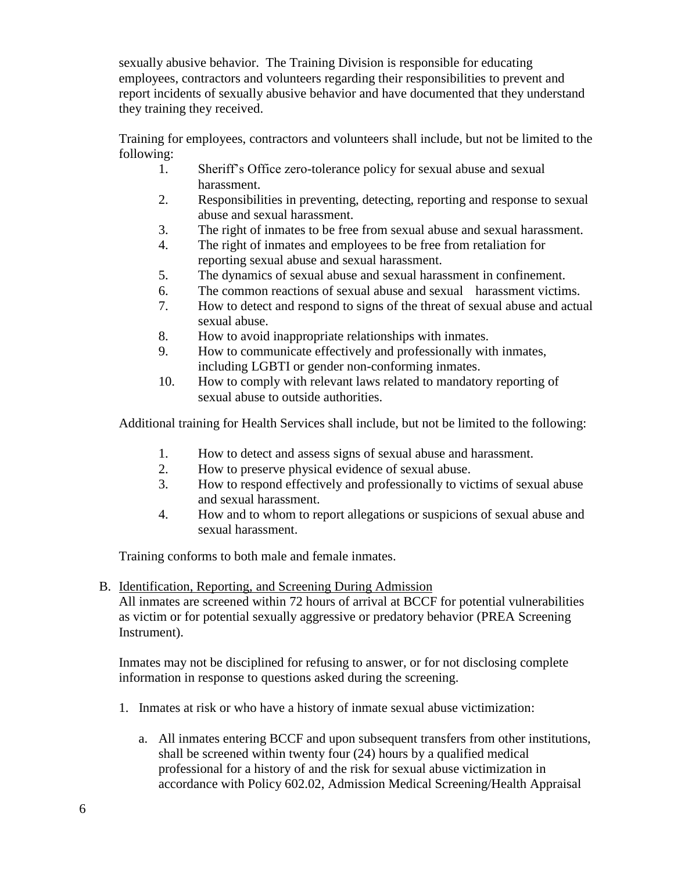sexually abusive behavior. The Training Division is responsible for educating employees, contractors and volunteers regarding their responsibilities to prevent and report incidents of sexually abusive behavior and have documented that they understand they training they received.

Training for employees, contractors and volunteers shall include, but not be limited to the following:

- 1. Sheriff's Office zero-tolerance policy for sexual abuse and sexual harassment.
- 2. Responsibilities in preventing, detecting, reporting and response to sexual abuse and sexual harassment.
- 3. The right of inmates to be free from sexual abuse and sexual harassment.
- 4. The right of inmates and employees to be free from retaliation for reporting sexual abuse and sexual harassment.
- 5. The dynamics of sexual abuse and sexual harassment in confinement.
- 6. The common reactions of sexual abuse and sexual harassment victims.
- 7. How to detect and respond to signs of the threat of sexual abuse and actual sexual abuse.
- 8. How to avoid inappropriate relationships with inmates.
- 9. How to communicate effectively and professionally with inmates, including LGBTI or gender non-conforming inmates.
- 10. How to comply with relevant laws related to mandatory reporting of sexual abuse to outside authorities.

Additional training for Health Services shall include, but not be limited to the following:

- 1. How to detect and assess signs of sexual abuse and harassment.
- 2. How to preserve physical evidence of sexual abuse.
- 3. How to respond effectively and professionally to victims of sexual abuse and sexual harassment.
- 4. How and to whom to report allegations or suspicions of sexual abuse and sexual harassment.

Training conforms to both male and female inmates.

#### B. Identification, Reporting, and Screening During Admission

All inmates are screened within 72 hours of arrival at BCCF for potential vulnerabilities as victim or for potential sexually aggressive or predatory behavior (PREA Screening Instrument).

Inmates may not be disciplined for refusing to answer, or for not disclosing complete information in response to questions asked during the screening.

- 1. Inmates at risk or who have a history of inmate sexual abuse victimization:
	- a. All inmates entering BCCF and upon subsequent transfers from other institutions, shall be screened within twenty four (24) hours by a qualified medical professional for a history of and the risk for sexual abuse victimization in accordance with Policy 602.02, Admission Medical Screening/Health Appraisal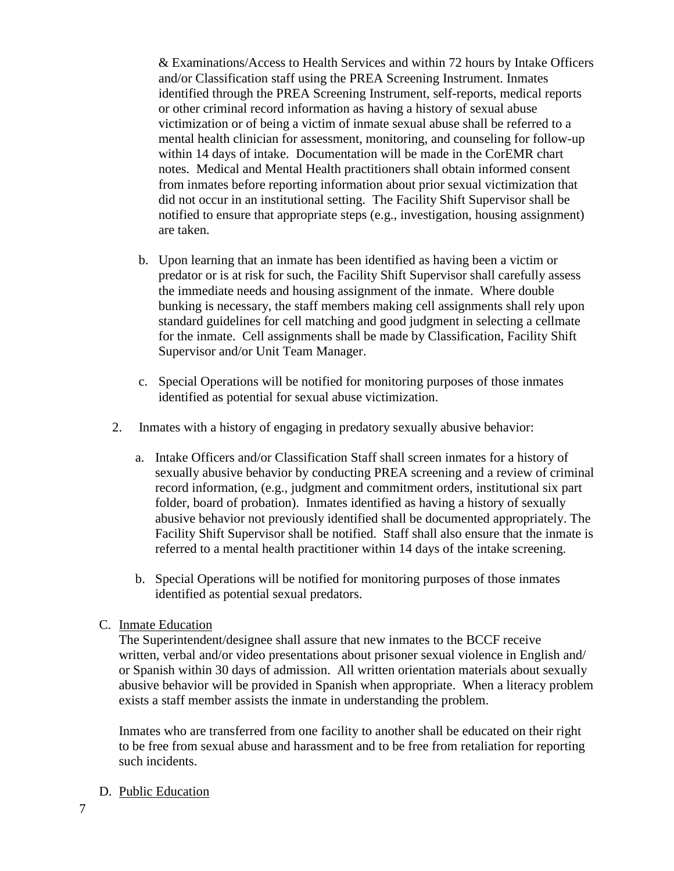& Examinations/Access to Health Services and within 72 hours by Intake Officers and/or Classification staff using the PREA Screening Instrument. Inmates identified through the PREA Screening Instrument, self-reports, medical reports or other criminal record information as having a history of sexual abuse victimization or of being a victim of inmate sexual abuse shall be referred to a mental health clinician for assessment, monitoring, and counseling for follow-up within 14 days of intake. Documentation will be made in the CorEMR chart notes. Medical and Mental Health practitioners shall obtain informed consent from inmates before reporting information about prior sexual victimization that did not occur in an institutional setting. The Facility Shift Supervisor shall be notified to ensure that appropriate steps (e.g., investigation, housing assignment) are taken.

- b. Upon learning that an inmate has been identified as having been a victim or predator or is at risk for such, the Facility Shift Supervisor shall carefully assess the immediate needs and housing assignment of the inmate. Where double bunking is necessary, the staff members making cell assignments shall rely upon standard guidelines for cell matching and good judgment in selecting a cellmate for the inmate. Cell assignments shall be made by Classification, Facility Shift Supervisor and/or Unit Team Manager.
- c. Special Operations will be notified for monitoring purposes of those inmates identified as potential for sexual abuse victimization.
- 2. Inmates with a history of engaging in predatory sexually abusive behavior:
	- a. Intake Officers and/or Classification Staff shall screen inmates for a history of sexually abusive behavior by conducting PREA screening and a review of criminal record information, (e.g., judgment and commitment orders, institutional six part folder, board of probation). Inmates identified as having a history of sexually abusive behavior not previously identified shall be documented appropriately. The Facility Shift Supervisor shall be notified. Staff shall also ensure that the inmate is referred to a mental health practitioner within 14 days of the intake screening.
	- b. Special Operations will be notified for monitoring purposes of those inmates identified as potential sexual predators.

#### C. Inmate Education

The Superintendent/designee shall assure that new inmates to the BCCF receive written, verbal and/or video presentations about prisoner sexual violence in English and/ or Spanish within 30 days of admission. All written orientation materials about sexually abusive behavior will be provided in Spanish when appropriate. When a literacy problem exists a staff member assists the inmate in understanding the problem.

Inmates who are transferred from one facility to another shall be educated on their right to be free from sexual abuse and harassment and to be free from retaliation for reporting such incidents.

D. Public Education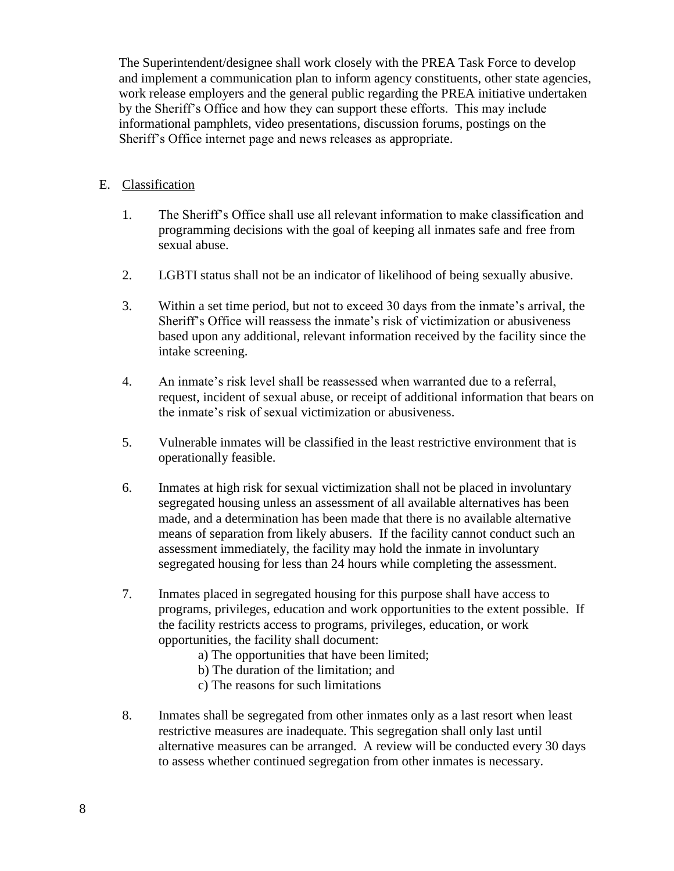The Superintendent/designee shall work closely with the PREA Task Force to develop and implement a communication plan to inform agency constituents, other state agencies, work release employers and the general public regarding the PREA initiative undertaken by the Sheriff's Office and how they can support these efforts. This may include informational pamphlets, video presentations, discussion forums, postings on the Sheriff's Office internet page and news releases as appropriate.

#### E. Classification

- 1. The Sheriff's Office shall use all relevant information to make classification and programming decisions with the goal of keeping all inmates safe and free from sexual abuse.
- 2. LGBTI status shall not be an indicator of likelihood of being sexually abusive.
- 3. Within a set time period, but not to exceed 30 days from the inmate's arrival, the Sheriff's Office will reassess the inmate's risk of victimization or abusiveness based upon any additional, relevant information received by the facility since the intake screening.
- 4. An inmate's risk level shall be reassessed when warranted due to a referral, request, incident of sexual abuse, or receipt of additional information that bears on the inmate's risk of sexual victimization or abusiveness.
- 5. Vulnerable inmates will be classified in the least restrictive environment that is operationally feasible.
- 6. Inmates at high risk for sexual victimization shall not be placed in involuntary segregated housing unless an assessment of all available alternatives has been made, and a determination has been made that there is no available alternative means of separation from likely abusers. If the facility cannot conduct such an assessment immediately, the facility may hold the inmate in involuntary segregated housing for less than 24 hours while completing the assessment.
- 7. Inmates placed in segregated housing for this purpose shall have access to programs, privileges, education and work opportunities to the extent possible. If the facility restricts access to programs, privileges, education, or work opportunities, the facility shall document:
	- a) The opportunities that have been limited;
	- b) The duration of the limitation; and
	- c) The reasons for such limitations
- 8. Inmates shall be segregated from other inmates only as a last resort when least restrictive measures are inadequate. This segregation shall only last until alternative measures can be arranged. A review will be conducted every 30 days to assess whether continued segregation from other inmates is necessary.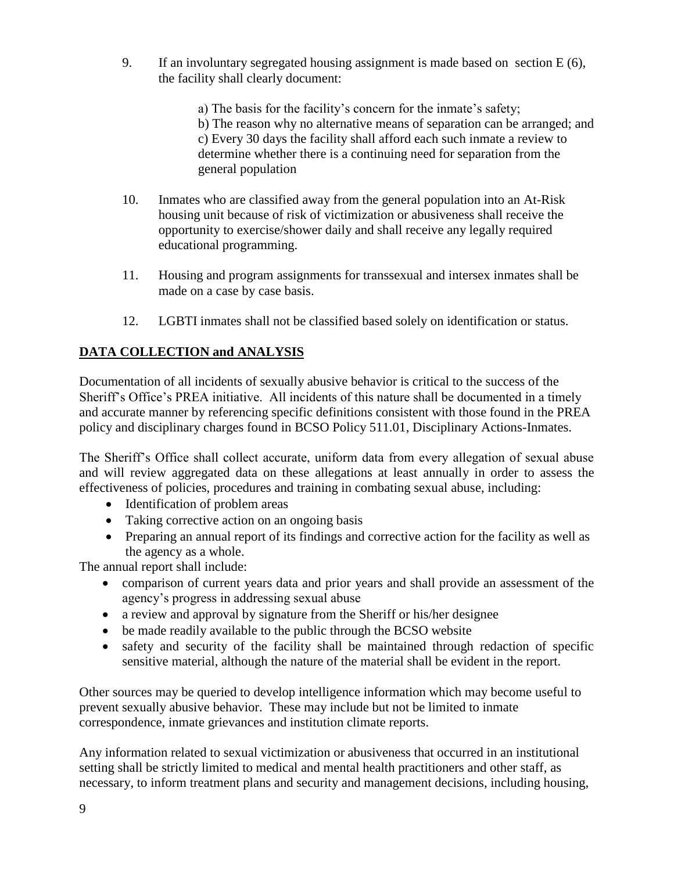9. If an involuntary segregated housing assignment is made based on section E (6), the facility shall clearly document:

> a) The basis for the facility's concern for the inmate's safety; b) The reason why no alternative means of separation can be arranged; and c) Every 30 days the facility shall afford each such inmate a review to determine whether there is a continuing need for separation from the general population

- 10. Inmates who are classified away from the general population into an At-Risk housing unit because of risk of victimization or abusiveness shall receive the opportunity to exercise/shower daily and shall receive any legally required educational programming.
- 11. Housing and program assignments for transsexual and intersex inmates shall be made on a case by case basis.
- 12. LGBTI inmates shall not be classified based solely on identification or status.

# **DATA COLLECTION and ANALYSIS**

Documentation of all incidents of sexually abusive behavior is critical to the success of the Sheriff's Office's PREA initiative. All incidents of this nature shall be documented in a timely and accurate manner by referencing specific definitions consistent with those found in the PREA policy and disciplinary charges found in BCSO Policy 511.01, Disciplinary Actions-Inmates.

The Sheriff's Office shall collect accurate, uniform data from every allegation of sexual abuse and will review aggregated data on these allegations at least annually in order to assess the effectiveness of policies, procedures and training in combating sexual abuse, including:

- Identification of problem areas
- Taking corrective action on an ongoing basis
- Preparing an annual report of its findings and corrective action for the facility as well as the agency as a whole.

The annual report shall include:

- comparison of current years data and prior years and shall provide an assessment of the agency's progress in addressing sexual abuse
- a review and approval by signature from the Sheriff or his/her designee
- be made readily available to the public through the BCSO website
- safety and security of the facility shall be maintained through redaction of specific sensitive material, although the nature of the material shall be evident in the report.

Other sources may be queried to develop intelligence information which may become useful to prevent sexually abusive behavior. These may include but not be limited to inmate correspondence, inmate grievances and institution climate reports.

Any information related to sexual victimization or abusiveness that occurred in an institutional setting shall be strictly limited to medical and mental health practitioners and other staff, as necessary, to inform treatment plans and security and management decisions, including housing,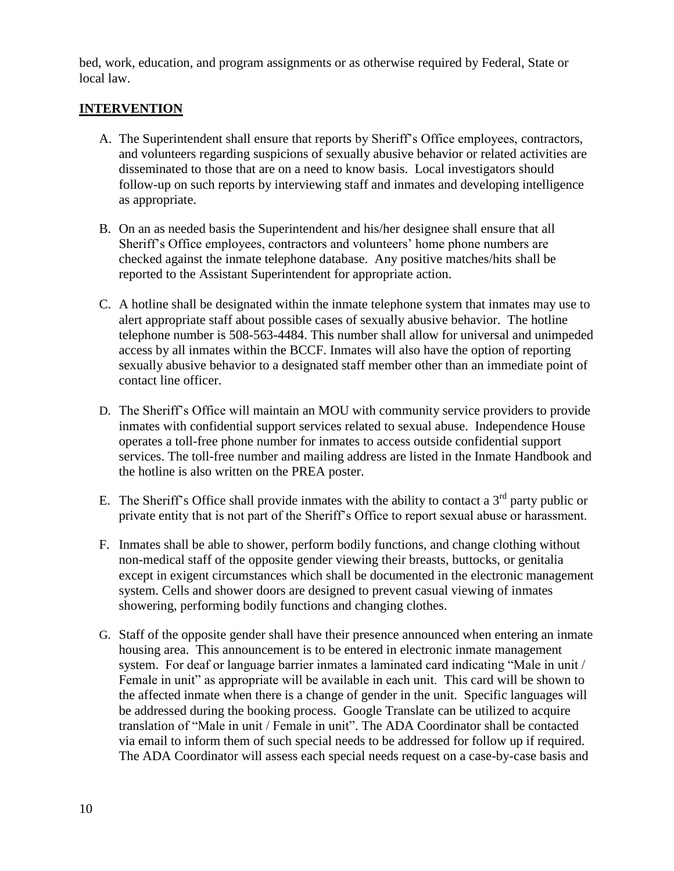bed, work, education, and program assignments or as otherwise required by Federal, State or local law.

#### **INTERVENTION**

- A. The Superintendent shall ensure that reports by Sheriff's Office employees, contractors, and volunteers regarding suspicions of sexually abusive behavior or related activities are disseminated to those that are on a need to know basis. Local investigators should follow-up on such reports by interviewing staff and inmates and developing intelligence as appropriate.
- B. On an as needed basis the Superintendent and his/her designee shall ensure that all Sheriff's Office employees, contractors and volunteers' home phone numbers are checked against the inmate telephone database. Any positive matches/hits shall be reported to the Assistant Superintendent for appropriate action.
- C. A hotline shall be designated within the inmate telephone system that inmates may use to alert appropriate staff about possible cases of sexually abusive behavior. The hotline telephone number is 508-563-4484. This number shall allow for universal and unimpeded access by all inmates within the BCCF. Inmates will also have the option of reporting sexually abusive behavior to a designated staff member other than an immediate point of contact line officer.
- D. The Sheriff's Office will maintain an MOU with community service providers to provide inmates with confidential support services related to sexual abuse. Independence House operates a toll-free phone number for inmates to access outside confidential support services. The toll-free number and mailing address are listed in the Inmate Handbook and the hotline is also written on the PREA poster.
- E. The Sheriff's Office shall provide inmates with the ability to contact a  $3<sup>rd</sup>$  party public or private entity that is not part of the Sheriff's Office to report sexual abuse or harassment.
- F. Inmates shall be able to shower, perform bodily functions, and change clothing without non-medical staff of the opposite gender viewing their breasts, buttocks, or genitalia except in exigent circumstances which shall be documented in the electronic management system. Cells and shower doors are designed to prevent casual viewing of inmates showering, performing bodily functions and changing clothes.
- G. Staff of the opposite gender shall have their presence announced when entering an inmate housing area. This announcement is to be entered in electronic inmate management system. For deaf or language barrier inmates a laminated card indicating "Male in unit / Female in unit" as appropriate will be available in each unit. This card will be shown to the affected inmate when there is a change of gender in the unit. Specific languages will be addressed during the booking process. Google Translate can be utilized to acquire translation of "Male in unit / Female in unit". The ADA Coordinator shall be contacted via email to inform them of such special needs to be addressed for follow up if required. The ADA Coordinator will assess each special needs request on a case-by-case basis and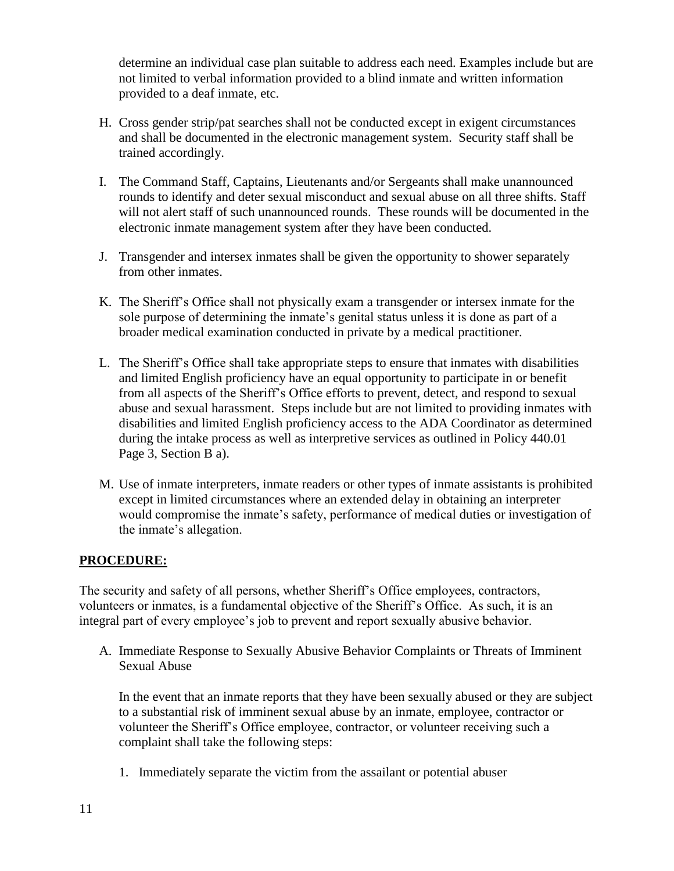determine an individual case plan suitable to address each need. Examples include but are not limited to verbal information provided to a blind inmate and written information provided to a deaf inmate, etc.

- H. Cross gender strip/pat searches shall not be conducted except in exigent circumstances and shall be documented in the electronic management system. Security staff shall be trained accordingly.
- I. The Command Staff, Captains, Lieutenants and/or Sergeants shall make unannounced rounds to identify and deter sexual misconduct and sexual abuse on all three shifts. Staff will not alert staff of such unannounced rounds. These rounds will be documented in the electronic inmate management system after they have been conducted.
- J. Transgender and intersex inmates shall be given the opportunity to shower separately from other inmates.
- K. The Sheriff's Office shall not physically exam a transgender or intersex inmate for the sole purpose of determining the inmate's genital status unless it is done as part of a broader medical examination conducted in private by a medical practitioner.
- L. The Sheriff's Office shall take appropriate steps to ensure that inmates with disabilities and limited English proficiency have an equal opportunity to participate in or benefit from all aspects of the Sheriff's Office efforts to prevent, detect, and respond to sexual abuse and sexual harassment. Steps include but are not limited to providing inmates with disabilities and limited English proficiency access to the ADA Coordinator as determined during the intake process as well as interpretive services as outlined in Policy 440.01 Page 3, Section B a).
- M. Use of inmate interpreters, inmate readers or other types of inmate assistants is prohibited except in limited circumstances where an extended delay in obtaining an interpreter would compromise the inmate's safety, performance of medical duties or investigation of the inmate's allegation.

#### **PROCEDURE:**

The security and safety of all persons, whether Sheriff's Office employees, contractors, volunteers or inmates, is a fundamental objective of the Sheriff's Office. As such, it is an integral part of every employee's job to prevent and report sexually abusive behavior.

A. Immediate Response to Sexually Abusive Behavior Complaints or Threats of Imminent Sexual Abuse

In the event that an inmate reports that they have been sexually abused or they are subject to a substantial risk of imminent sexual abuse by an inmate, employee, contractor or volunteer the Sheriff's Office employee, contractor, or volunteer receiving such a complaint shall take the following steps:

1. Immediately separate the victim from the assailant or potential abuser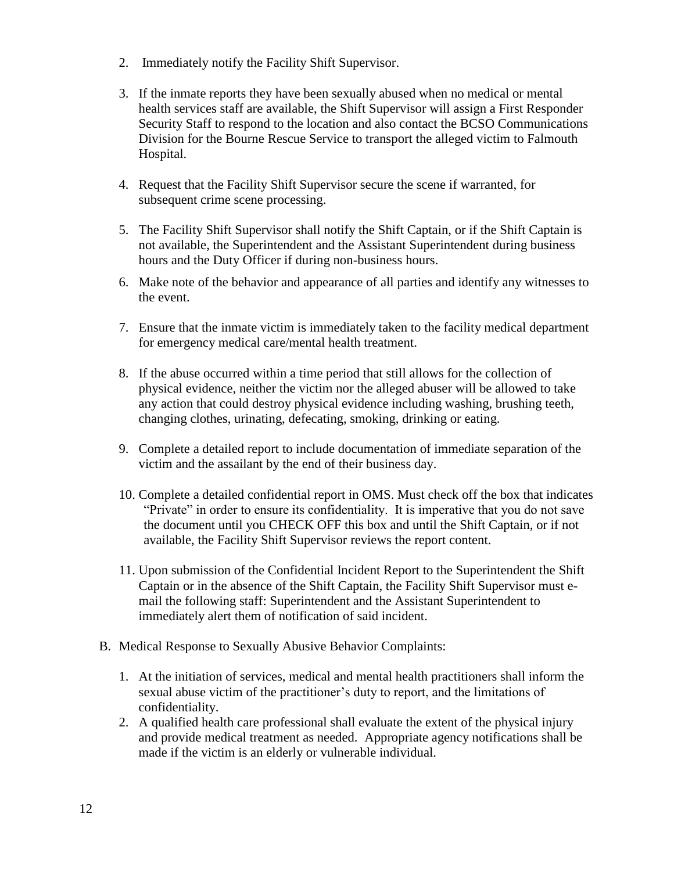- 2. Immediately notify the Facility Shift Supervisor.
- 3. If the inmate reports they have been sexually abused when no medical or mental health services staff are available, the Shift Supervisor will assign a First Responder Security Staff to respond to the location and also contact the BCSO Communications Division for the Bourne Rescue Service to transport the alleged victim to Falmouth Hospital.
- 4. Request that the Facility Shift Supervisor secure the scene if warranted, for subsequent crime scene processing.
- 5. The Facility Shift Supervisor shall notify the Shift Captain, or if the Shift Captain is not available, the Superintendent and the Assistant Superintendent during business hours and the Duty Officer if during non-business hours.
- 6. Make note of the behavior and appearance of all parties and identify any witnesses to the event.
- 7. Ensure that the inmate victim is immediately taken to the facility medical department for emergency medical care/mental health treatment.
- 8. If the abuse occurred within a time period that still allows for the collection of physical evidence, neither the victim nor the alleged abuser will be allowed to take any action that could destroy physical evidence including washing, brushing teeth, changing clothes, urinating, defecating, smoking, drinking or eating.
- 9. Complete a detailed report to include documentation of immediate separation of the victim and the assailant by the end of their business day.
- 10. Complete a detailed confidential report in OMS. Must check off the box that indicates "Private" in order to ensure its confidentiality. It is imperative that you do not save the document until you CHECK OFF this box and until the Shift Captain, or if not available, the Facility Shift Supervisor reviews the report content.
- 11. Upon submission of the Confidential Incident Report to the Superintendent the Shift Captain or in the absence of the Shift Captain, the Facility Shift Supervisor must email the following staff: Superintendent and the Assistant Superintendent to immediately alert them of notification of said incident.
- B. Medical Response to Sexually Abusive Behavior Complaints:
	- 1. At the initiation of services, medical and mental health practitioners shall inform the sexual abuse victim of the practitioner's duty to report, and the limitations of confidentiality.
	- 2. A qualified health care professional shall evaluate the extent of the physical injury and provide medical treatment as needed. Appropriate agency notifications shall be made if the victim is an elderly or vulnerable individual.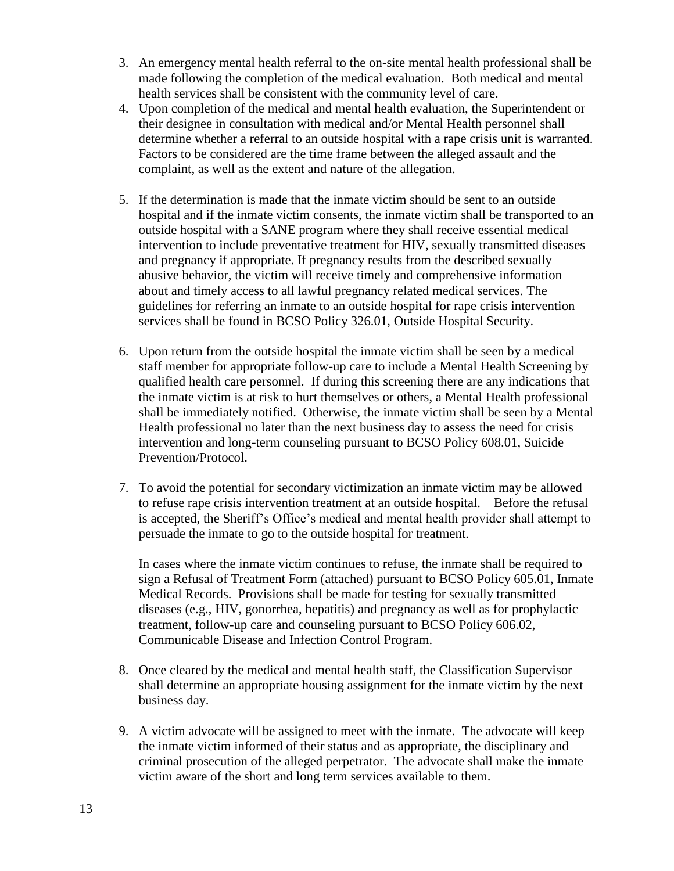- 3. An emergency mental health referral to the on-site mental health professional shall be made following the completion of the medical evaluation. Both medical and mental health services shall be consistent with the community level of care.
- 4. Upon completion of the medical and mental health evaluation, the Superintendent or their designee in consultation with medical and/or Mental Health personnel shall determine whether a referral to an outside hospital with a rape crisis unit is warranted. Factors to be considered are the time frame between the alleged assault and the complaint, as well as the extent and nature of the allegation.
- 5. If the determination is made that the inmate victim should be sent to an outside hospital and if the inmate victim consents, the inmate victim shall be transported to an outside hospital with a SANE program where they shall receive essential medical intervention to include preventative treatment for HIV, sexually transmitted diseases and pregnancy if appropriate. If pregnancy results from the described sexually abusive behavior, the victim will receive timely and comprehensive information about and timely access to all lawful pregnancy related medical services. The guidelines for referring an inmate to an outside hospital for rape crisis intervention services shall be found in BCSO Policy 326.01, Outside Hospital Security.
- 6. Upon return from the outside hospital the inmate victim shall be seen by a medical staff member for appropriate follow-up care to include a Mental Health Screening by qualified health care personnel. If during this screening there are any indications that the inmate victim is at risk to hurt themselves or others, a Mental Health professional shall be immediately notified. Otherwise, the inmate victim shall be seen by a Mental Health professional no later than the next business day to assess the need for crisis intervention and long-term counseling pursuant to BCSO Policy 608.01, Suicide Prevention/Protocol.
- 7. To avoid the potential for secondary victimization an inmate victim may be allowed to refuse rape crisis intervention treatment at an outside hospital. Before the refusal is accepted, the Sheriff's Office's medical and mental health provider shall attempt to persuade the inmate to go to the outside hospital for treatment.

In cases where the inmate victim continues to refuse, the inmate shall be required to sign a Refusal of Treatment Form (attached) pursuant to BCSO Policy 605.01, Inmate Medical Records. Provisions shall be made for testing for sexually transmitted diseases (e.g., HIV, gonorrhea, hepatitis) and pregnancy as well as for prophylactic treatment, follow-up care and counseling pursuant to BCSO Policy 606.02, Communicable Disease and Infection Control Program.

- 8. Once cleared by the medical and mental health staff, the Classification Supervisor shall determine an appropriate housing assignment for the inmate victim by the next business day.
- 9. A victim advocate will be assigned to meet with the inmate. The advocate will keep the inmate victim informed of their status and as appropriate, the disciplinary and criminal prosecution of the alleged perpetrator. The advocate shall make the inmate victim aware of the short and long term services available to them.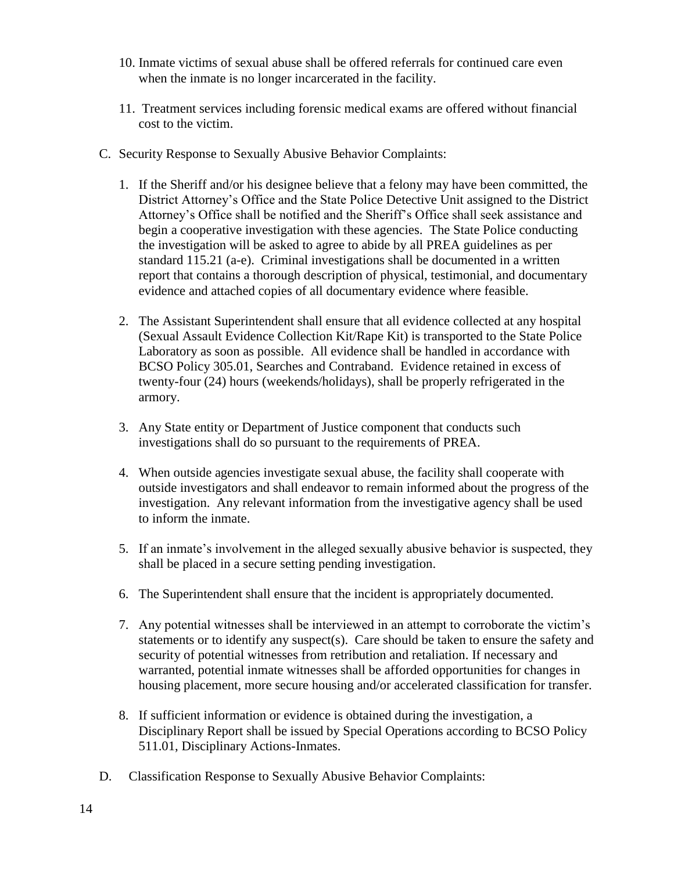- 10. Inmate victims of sexual abuse shall be offered referrals for continued care even when the inmate is no longer incarcerated in the facility.
- 11. Treatment services including forensic medical exams are offered without financial cost to the victim.
- C. Security Response to Sexually Abusive Behavior Complaints:
	- 1. If the Sheriff and/or his designee believe that a felony may have been committed, the District Attorney's Office and the State Police Detective Unit assigned to the District Attorney's Office shall be notified and the Sheriff's Office shall seek assistance and begin a cooperative investigation with these agencies. The State Police conducting the investigation will be asked to agree to abide by all PREA guidelines as per standard 115.21 (a-e). Criminal investigations shall be documented in a written report that contains a thorough description of physical, testimonial, and documentary evidence and attached copies of all documentary evidence where feasible.
	- 2. The Assistant Superintendent shall ensure that all evidence collected at any hospital (Sexual Assault Evidence Collection Kit/Rape Kit) is transported to the State Police Laboratory as soon as possible. All evidence shall be handled in accordance with BCSO Policy 305.01, Searches and Contraband. Evidence retained in excess of twenty-four (24) hours (weekends/holidays), shall be properly refrigerated in the armory.
	- 3. Any State entity or Department of Justice component that conducts such investigations shall do so pursuant to the requirements of PREA.
	- 4. When outside agencies investigate sexual abuse, the facility shall cooperate with outside investigators and shall endeavor to remain informed about the progress of the investigation. Any relevant information from the investigative agency shall be used to inform the inmate.
	- 5. If an inmate's involvement in the alleged sexually abusive behavior is suspected, they shall be placed in a secure setting pending investigation.
	- 6. The Superintendent shall ensure that the incident is appropriately documented.
	- 7. Any potential witnesses shall be interviewed in an attempt to corroborate the victim's statements or to identify any suspect(s). Care should be taken to ensure the safety and security of potential witnesses from retribution and retaliation. If necessary and warranted, potential inmate witnesses shall be afforded opportunities for changes in housing placement, more secure housing and/or accelerated classification for transfer.
	- 8. If sufficient information or evidence is obtained during the investigation, a Disciplinary Report shall be issued by Special Operations according to BCSO Policy 511.01, Disciplinary Actions-Inmates.
- D. Classification Response to Sexually Abusive Behavior Complaints: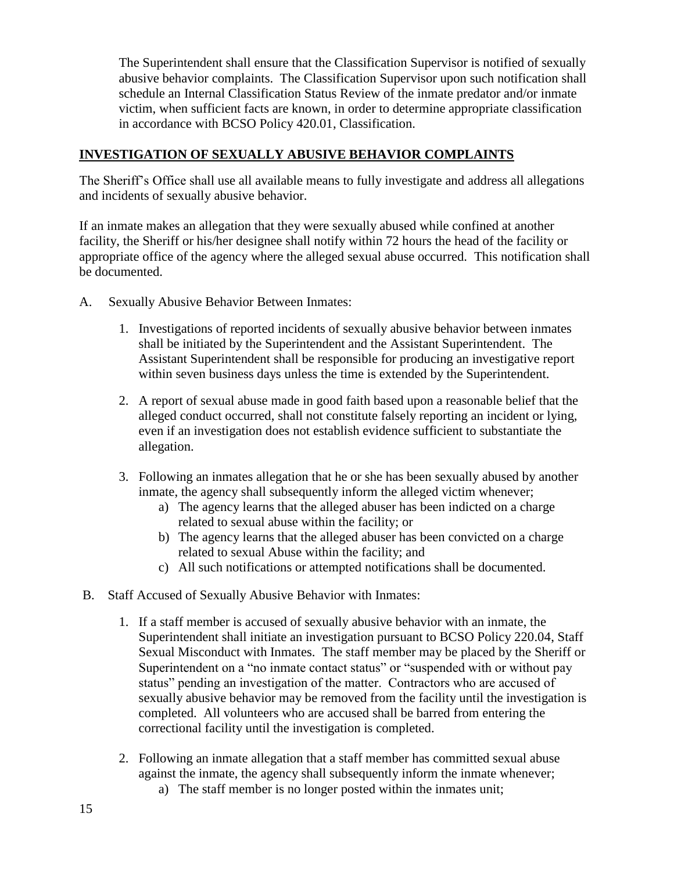The Superintendent shall ensure that the Classification Supervisor is notified of sexually abusive behavior complaints. The Classification Supervisor upon such notification shall schedule an Internal Classification Status Review of the inmate predator and/or inmate victim, when sufficient facts are known, in order to determine appropriate classification in accordance with BCSO Policy 420.01, Classification.

#### **INVESTIGATION OF SEXUALLY ABUSIVE BEHAVIOR COMPLAINTS**

The Sheriff's Office shall use all available means to fully investigate and address all allegations and incidents of sexually abusive behavior.

If an inmate makes an allegation that they were sexually abused while confined at another facility, the Sheriff or his/her designee shall notify within 72 hours the head of the facility or appropriate office of the agency where the alleged sexual abuse occurred. This notification shall be documented.

- A. Sexually Abusive Behavior Between Inmates:
	- 1. Investigations of reported incidents of sexually abusive behavior between inmates shall be initiated by the Superintendent and the Assistant Superintendent. The Assistant Superintendent shall be responsible for producing an investigative report within seven business days unless the time is extended by the Superintendent.
	- 2. A report of sexual abuse made in good faith based upon a reasonable belief that the alleged conduct occurred, shall not constitute falsely reporting an incident or lying, even if an investigation does not establish evidence sufficient to substantiate the allegation.
	- 3. Following an inmates allegation that he or she has been sexually abused by another inmate, the agency shall subsequently inform the alleged victim whenever;
		- a) The agency learns that the alleged abuser has been indicted on a charge related to sexual abuse within the facility; or
		- b) The agency learns that the alleged abuser has been convicted on a charge related to sexual Abuse within the facility; and
		- c) All such notifications or attempted notifications shall be documented.
- B. Staff Accused of Sexually Abusive Behavior with Inmates:
	- 1. If a staff member is accused of sexually abusive behavior with an inmate, the Superintendent shall initiate an investigation pursuant to BCSO Policy 220.04, Staff Sexual Misconduct with Inmates. The staff member may be placed by the Sheriff or Superintendent on a "no inmate contact status" or "suspended with or without pay status" pending an investigation of the matter. Contractors who are accused of sexually abusive behavior may be removed from the facility until the investigation is completed. All volunteers who are accused shall be barred from entering the correctional facility until the investigation is completed.
	- 2. Following an inmate allegation that a staff member has committed sexual abuse against the inmate, the agency shall subsequently inform the inmate whenever;
		- a) The staff member is no longer posted within the inmates unit;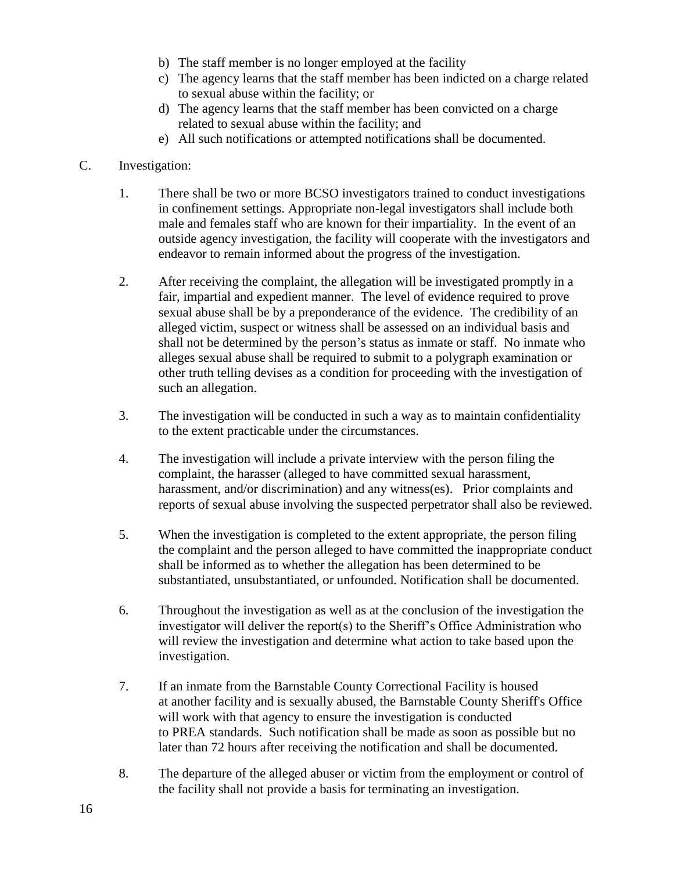- b) The staff member is no longer employed at the facility
- c) The agency learns that the staff member has been indicted on a charge related to sexual abuse within the facility; or
- d) The agency learns that the staff member has been convicted on a charge related to sexual abuse within the facility; and
- e) All such notifications or attempted notifications shall be documented.
- C. Investigation:
	- 1. There shall be two or more BCSO investigators trained to conduct investigations in confinement settings. Appropriate non-legal investigators shall include both male and females staff who are known for their impartiality. In the event of an outside agency investigation, the facility will cooperate with the investigators and endeavor to remain informed about the progress of the investigation.
	- 2. After receiving the complaint, the allegation will be investigated promptly in a fair, impartial and expedient manner. The level of evidence required to prove sexual abuse shall be by a preponderance of the evidence. The credibility of an alleged victim, suspect or witness shall be assessed on an individual basis and shall not be determined by the person's status as inmate or staff. No inmate who alleges sexual abuse shall be required to submit to a polygraph examination or other truth telling devises as a condition for proceeding with the investigation of such an allegation.
	- 3. The investigation will be conducted in such a way as to maintain confidentiality to the extent practicable under the circumstances.
	- 4. The investigation will include a private interview with the person filing the complaint, the harasser (alleged to have committed sexual harassment, harassment, and/or discrimination) and any witness(es). Prior complaints and reports of sexual abuse involving the suspected perpetrator shall also be reviewed.
	- 5. When the investigation is completed to the extent appropriate, the person filing the complaint and the person alleged to have committed the inappropriate conduct shall be informed as to whether the allegation has been determined to be substantiated, unsubstantiated, or unfounded. Notification shall be documented.
	- 6. Throughout the investigation as well as at the conclusion of the investigation the investigator will deliver the report(s) to the Sheriff's Office Administration who will review the investigation and determine what action to take based upon the investigation.
	- 7. If an inmate from the Barnstable County Correctional Facility is housed at another facility and is sexually abused, the Barnstable County Sheriff's Office will work with that agency to ensure the investigation is conducted to PREA standards. Such notification shall be made as soon as possible but no later than 72 hours after receiving the notification and shall be documented.
	- 8. The departure of the alleged abuser or victim from the employment or control of the facility shall not provide a basis for terminating an investigation.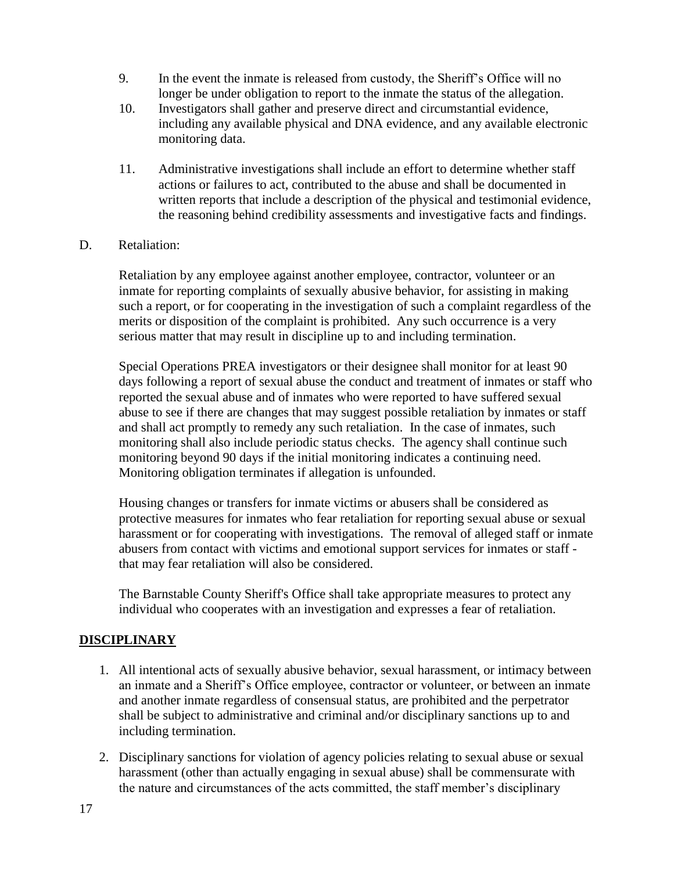- 9. In the event the inmate is released from custody, the Sheriff's Office will no longer be under obligation to report to the inmate the status of the allegation.
- 10. Investigators shall gather and preserve direct and circumstantial evidence, including any available physical and DNA evidence, and any available electronic monitoring data.
- 11. Administrative investigations shall include an effort to determine whether staff actions or failures to act, contributed to the abuse and shall be documented in written reports that include a description of the physical and testimonial evidence, the reasoning behind credibility assessments and investigative facts and findings.
- D. Retaliation:

Retaliation by any employee against another employee, contractor, volunteer or an inmate for reporting complaints of sexually abusive behavior, for assisting in making such a report, or for cooperating in the investigation of such a complaint regardless of the merits or disposition of the complaint is prohibited. Any such occurrence is a very serious matter that may result in discipline up to and including termination.

Special Operations PREA investigators or their designee shall monitor for at least 90 days following a report of sexual abuse the conduct and treatment of inmates or staff who reported the sexual abuse and of inmates who were reported to have suffered sexual abuse to see if there are changes that may suggest possible retaliation by inmates or staff and shall act promptly to remedy any such retaliation. In the case of inmates, such monitoring shall also include periodic status checks. The agency shall continue such monitoring beyond 90 days if the initial monitoring indicates a continuing need. Monitoring obligation terminates if allegation is unfounded.

Housing changes or transfers for inmate victims or abusers shall be considered as protective measures for inmates who fear retaliation for reporting sexual abuse or sexual harassment or for cooperating with investigations. The removal of alleged staff or inmate abusers from contact with victims and emotional support services for inmates or staff that may fear retaliation will also be considered.

The Barnstable County Sheriff's Office shall take appropriate measures to protect any individual who cooperates with an investigation and expresses a fear of retaliation.

# **DISCIPLINARY**

- 1. All intentional acts of sexually abusive behavior, sexual harassment, or intimacy between an inmate and a Sheriff's Office employee, contractor or volunteer, or between an inmate and another inmate regardless of consensual status, are prohibited and the perpetrator shall be subject to administrative and criminal and/or disciplinary sanctions up to and including termination.
- 2. Disciplinary sanctions for violation of agency policies relating to sexual abuse or sexual harassment (other than actually engaging in sexual abuse) shall be commensurate with the nature and circumstances of the acts committed, the staff member's disciplinary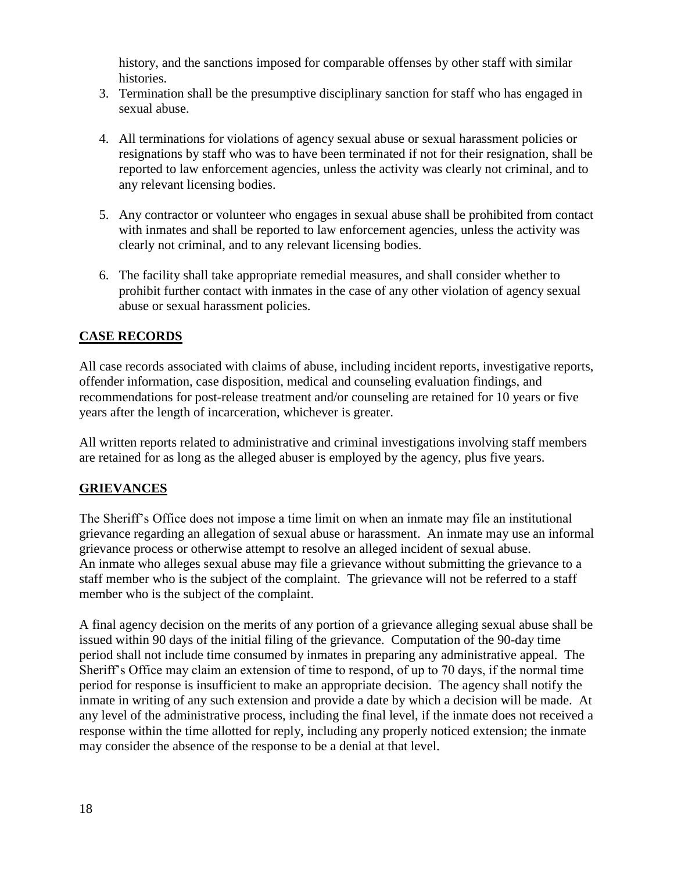history, and the sanctions imposed for comparable offenses by other staff with similar histories.

- 3. Termination shall be the presumptive disciplinary sanction for staff who has engaged in sexual abuse.
- 4. All terminations for violations of agency sexual abuse or sexual harassment policies or resignations by staff who was to have been terminated if not for their resignation, shall be reported to law enforcement agencies, unless the activity was clearly not criminal, and to any relevant licensing bodies.
- 5. Any contractor or volunteer who engages in sexual abuse shall be prohibited from contact with inmates and shall be reported to law enforcement agencies, unless the activity was clearly not criminal, and to any relevant licensing bodies.
- 6. The facility shall take appropriate remedial measures, and shall consider whether to prohibit further contact with inmates in the case of any other violation of agency sexual abuse or sexual harassment policies.

### **CASE RECORDS**

All case records associated with claims of abuse, including incident reports, investigative reports, offender information, case disposition, medical and counseling evaluation findings, and recommendations for post-release treatment and/or counseling are retained for 10 years or five years after the length of incarceration, whichever is greater.

All written reports related to administrative and criminal investigations involving staff members are retained for as long as the alleged abuser is employed by the agency, plus five years.

#### **GRIEVANCES**

The Sheriff's Office does not impose a time limit on when an inmate may file an institutional grievance regarding an allegation of sexual abuse or harassment. An inmate may use an informal grievance process or otherwise attempt to resolve an alleged incident of sexual abuse. An inmate who alleges sexual abuse may file a grievance without submitting the grievance to a staff member who is the subject of the complaint. The grievance will not be referred to a staff member who is the subject of the complaint.

A final agency decision on the merits of any portion of a grievance alleging sexual abuse shall be issued within 90 days of the initial filing of the grievance. Computation of the 90-day time period shall not include time consumed by inmates in preparing any administrative appeal. The Sheriff's Office may claim an extension of time to respond, of up to 70 days, if the normal time period for response is insufficient to make an appropriate decision. The agency shall notify the inmate in writing of any such extension and provide a date by which a decision will be made. At any level of the administrative process, including the final level, if the inmate does not received a response within the time allotted for reply, including any properly noticed extension; the inmate may consider the absence of the response to be a denial at that level.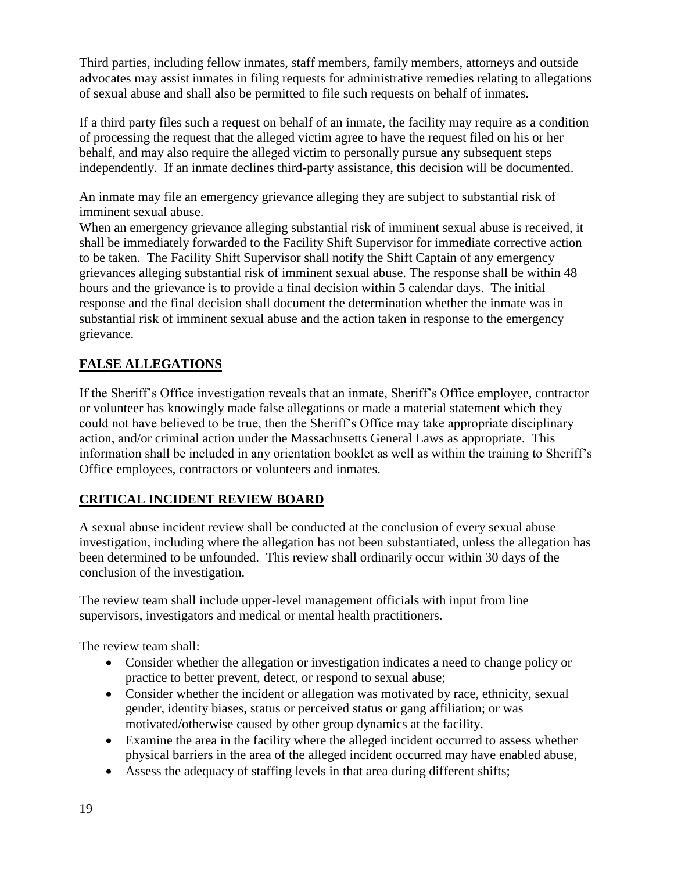Third parties, including fellow inmates, staff members, family members, attorneys and outside advocates may assist inmates in filing requests for administrative remedies relating to allegations of sexual abuse and shall also be permitted to file such requests on behalf of inmates.

If a third party files such a request on behalf of an inmate, the facility may require as a condition of processing the request that the alleged victim agree to have the request filed on his or her behalf, and may also require the alleged victim to personally pursue any subsequent steps independently. If an inmate declines third-party assistance, this decision will be documented.

An inmate may file an emergency grievance alleging they are subject to substantial risk of imminent sexual abuse.

When an emergency grievance alleging substantial risk of imminent sexual abuse is received, it shall be immediately forwarded to the Facility Shift Supervisor for immediate corrective action to be taken. The Facility Shift Supervisor shall notify the Shift Captain of any emergency grievances alleging substantial risk of imminent sexual abuse. The response shall be within 48 hours and the grievance is to provide a final decision within 5 calendar days. The initial response and the final decision shall document the determination whether the inmate was in substantial risk of imminent sexual abuse and the action taken in response to the emergency grievance.

# **FALSE ALLEGATIONS**

If the Sheriff's Office investigation reveals that an inmate, Sheriff's Office employee, contractor or volunteer has knowingly made false allegations or made a material statement which they could not have believed to be true, then the Sheriff's Office may take appropriate disciplinary action, and/or criminal action under the Massachusetts General Laws as appropriate. This information shall be included in any orientation booklet as well as within the training to Sheriff's Office employees, contractors or volunteers and inmates.

# **CRITICAL INCIDENT REVIEW BOARD**

A sexual abuse incident review shall be conducted at the conclusion of every sexual abuse investigation, including where the allegation has not been substantiated, unless the allegation has been determined to be unfounded. This review shall ordinarily occur within 30 days of the conclusion of the investigation.

The review team shall include upper-level management officials with input from line supervisors, investigators and medical or mental health practitioners.

The review team shall:

- Consider whether the allegation or investigation indicates a need to change policy or practice to better prevent, detect, or respond to sexual abuse;
- Consider whether the incident or allegation was motivated by race, ethnicity, sexual gender, identity biases, status or perceived status or gang affiliation; or was motivated/otherwise caused by other group dynamics at the facility.
- Examine the area in the facility where the alleged incident occurred to assess whether physical barriers in the area of the alleged incident occurred may have enabled abuse,
- Assess the adequacy of staffing levels in that area during different shifts;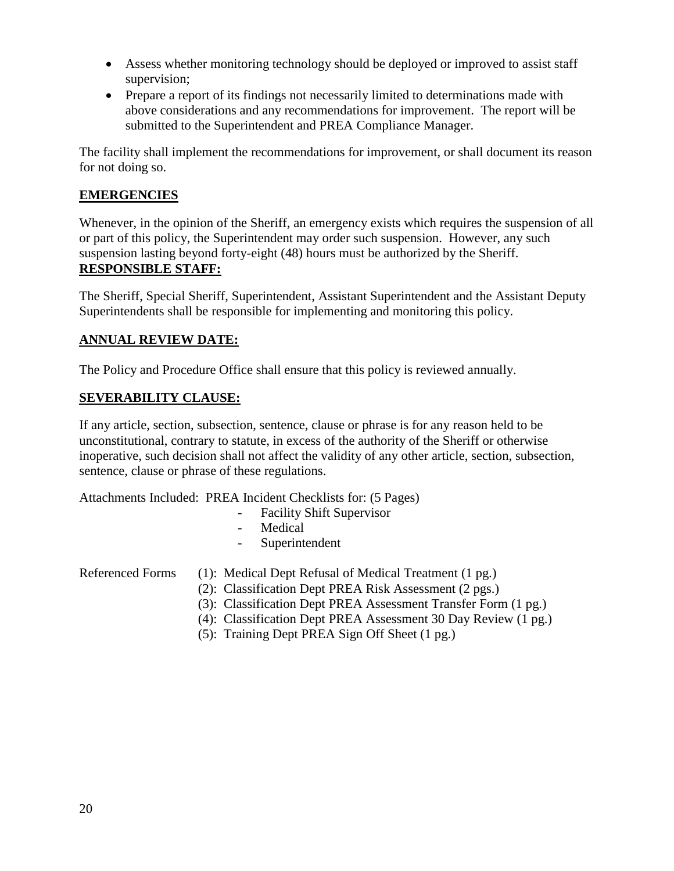- Assess whether monitoring technology should be deployed or improved to assist staff supervision;
- Prepare a report of its findings not necessarily limited to determinations made with above considerations and any recommendations for improvement. The report will be submitted to the Superintendent and PREA Compliance Manager.

The facility shall implement the recommendations for improvement, or shall document its reason for not doing so.

#### **EMERGENCIES**

Whenever, in the opinion of the Sheriff, an emergency exists which requires the suspension of all or part of this policy, the Superintendent may order such suspension. However, any such suspension lasting beyond forty-eight (48) hours must be authorized by the Sheriff. **RESPONSIBLE STAFF:**

The Sheriff, Special Sheriff, Superintendent, Assistant Superintendent and the Assistant Deputy Superintendents shall be responsible for implementing and monitoring this policy.

### **ANNUAL REVIEW DATE:**

The Policy and Procedure Office shall ensure that this policy is reviewed annually.

#### **SEVERABILITY CLAUSE:**

If any article, section, subsection, sentence, clause or phrase is for any reason held to be unconstitutional, contrary to statute, in excess of the authority of the Sheriff or otherwise inoperative, such decision shall not affect the validity of any other article, section, subsection, sentence, clause or phrase of these regulations.

Attachments Included: PREA Incident Checklists for: (5 Pages)

- Facility Shift Supervisor
- Medical
- **Superintendent**
- Referenced Forms (1): Medical Dept Refusal of Medical Treatment (1 pg.)
	- (2): Classification Dept PREA Risk Assessment (2 pgs.)
	- (3): Classification Dept PREA Assessment Transfer Form (1 pg.)
	- (4): Classification Dept PREA Assessment 30 Day Review (1 pg.)
	- (5): Training Dept PREA Sign Off Sheet (1 pg.)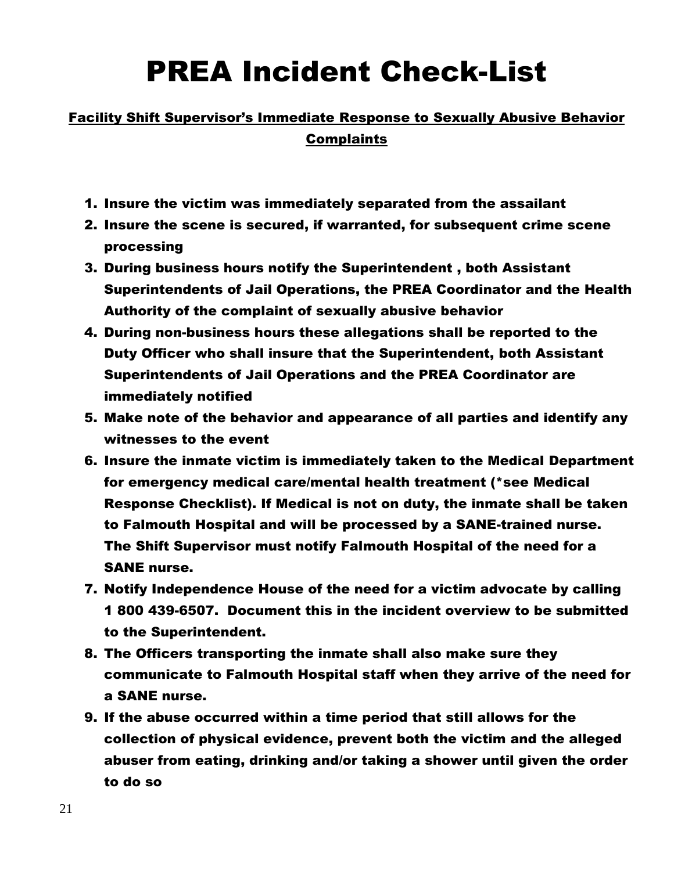# PREA Incident Check-List

# Facility Shift Supervisor's Immediate Response to Sexually Abusive Behavior **Complaints**

- 1. Insure the victim was immediately separated from the assailant
- 2. Insure the scene is secured, if warranted, for subsequent crime scene processing
- 3. During business hours notify the Superintendent , both Assistant Superintendents of Jail Operations, the PREA Coordinator and the Health Authority of the complaint of sexually abusive behavior
- 4. During non-business hours these allegations shall be reported to the Duty Officer who shall insure that the Superintendent, both Assistant Superintendents of Jail Operations and the PREA Coordinator are immediately notified
- 5. Make note of the behavior and appearance of all parties and identify any witnesses to the event
- 6. Insure the inmate victim is immediately taken to the Medical Department for emergency medical care/mental health treatment (\*see Medical Response Checklist). If Medical is not on duty, the inmate shall be taken to Falmouth Hospital and will be processed by a SANE-trained nurse. The Shift Supervisor must notify Falmouth Hospital of the need for a SANE nurse.
- 7. Notify Independence House of the need for a victim advocate by calling 1 800 439-6507. Document this in the incident overview to be submitted to the Superintendent.
- 8. The Officers transporting the inmate shall also make sure they communicate to Falmouth Hospital staff when they arrive of the need for a SANE nurse.
- 9. If the abuse occurred within a time period that still allows for the collection of physical evidence, prevent both the victim and the alleged abuser from eating, drinking and/or taking a shower until given the order to do so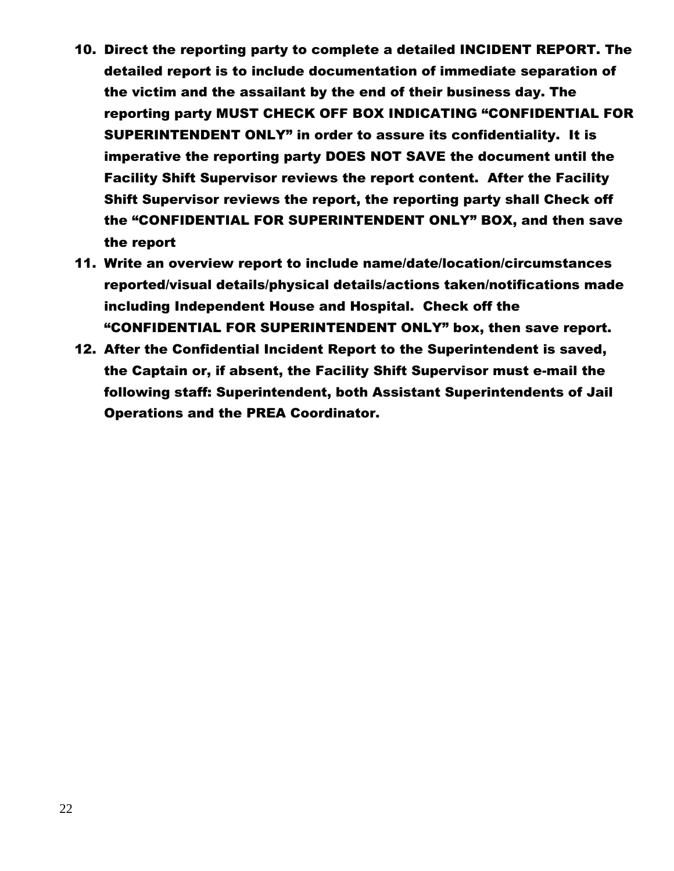- 10. Direct the reporting party to complete a detailed INCIDENT REPORT. The detailed report is to include documentation of immediate separation of the victim and the assailant by the end of their business day. The reporting party MUST CHECK OFF BOX INDICATING "CONFIDENTIAL FOR SUPERINTENDENT ONLY" in order to assure its confidentiality. It is imperative the reporting party DOES NOT SAVE the document until the Facility Shift Supervisor reviews the report content. After the Facility Shift Supervisor reviews the report, the reporting party shall Check off the "CONFIDENTIAL FOR SUPERINTENDENT ONLY" BOX, and then save the report
- 11. Write an overview report to include name/date/location/circumstances reported/visual details/physical details/actions taken/notifications made including Independent House and Hospital. Check off the "CONFIDENTIAL FOR SUPERINTENDENT ONLY" box, then save report.
- 12. After the Confidential Incident Report to the Superintendent is saved, the Captain or, if absent, the Facility Shift Supervisor must e-mail the following staff: Superintendent, both Assistant Superintendents of Jail Operations and the PREA Coordinator.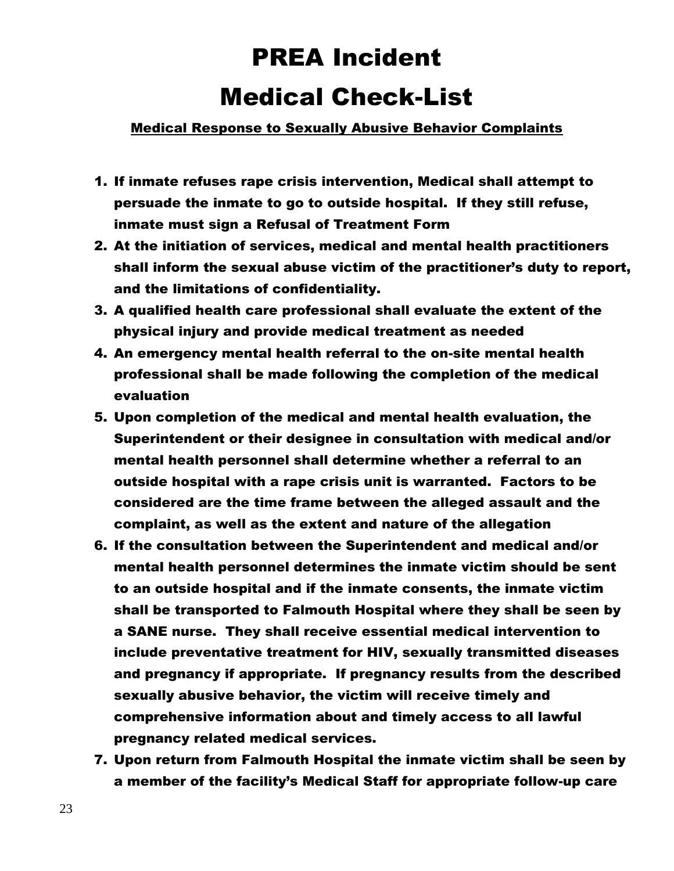# PREA Incident Medical Check-List

Medical Response to Sexually Abusive Behavior Complaints

- 1. If inmate refuses rape crisis intervention, Medical shall attempt to persuade the inmate to go to outside hospital. If they still refuse, inmate must sign a Refusal of Treatment Form
- 2. At the initiation of services, medical and mental health practitioners shall inform the sexual abuse victim of the practitioner's duty to report, and the limitations of confidentiality.
- 3. A qualified health care professional shall evaluate the extent of the physical injury and provide medical treatment as needed
- 4. An emergency mental health referral to the on-site mental health professional shall be made following the completion of the medical evaluation
- 5. Upon completion of the medical and mental health evaluation, the Superintendent or their designee in consultation with medical and/or mental health personnel shall determine whether a referral to an outside hospital with a rape crisis unit is warranted. Factors to be considered are the time frame between the alleged assault and the complaint, as well as the extent and nature of the allegation
- 6. If the consultation between the Superintendent and medical and/or mental health personnel determines the inmate victim should be sent to an outside hospital and if the inmate consents, the inmate victim shall be transported to Falmouth Hospital where they shall be seen by a SANE nurse. They shall receive essential medical intervention to include preventative treatment for HIV, sexually transmitted diseases and pregnancy if appropriate. If pregnancy results from the described sexually abusive behavior, the victim will receive timely and comprehensive information about and timely access to all lawful pregnancy related medical services.
- 7. Upon return from Falmouth Hospital the inmate victim shall be seen by a member of the facility's Medical Staff for appropriate follow-up care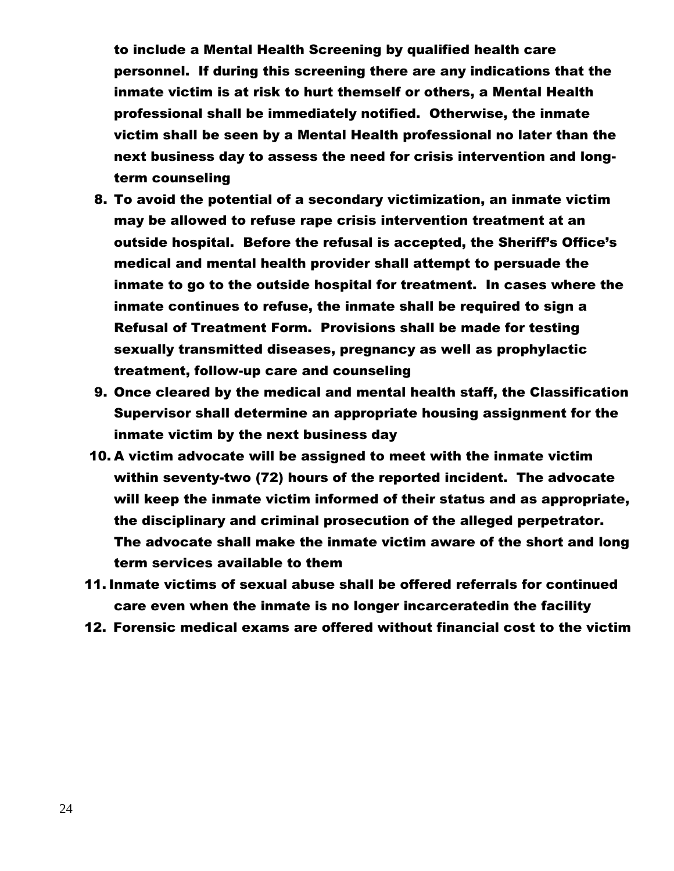to include a Mental Health Screening by qualified health care personnel. If during this screening there are any indications that the inmate victim is at risk to hurt themself or others, a Mental Health professional shall be immediately notified. Otherwise, the inmate victim shall be seen by a Mental Health professional no later than the next business day to assess the need for crisis intervention and longterm counseling

- 8. To avoid the potential of a secondary victimization, an inmate victim may be allowed to refuse rape crisis intervention treatment at an outside hospital. Before the refusal is accepted, the Sheriff's Office's medical and mental health provider shall attempt to persuade the inmate to go to the outside hospital for treatment. In cases where the inmate continues to refuse, the inmate shall be required to sign a Refusal of Treatment Form. Provisions shall be made for testing sexually transmitted diseases, pregnancy as well as prophylactic treatment, follow-up care and counseling
- 9. Once cleared by the medical and mental health staff, the Classification Supervisor shall determine an appropriate housing assignment for the inmate victim by the next business day
- 10. A victim advocate will be assigned to meet with the inmate victim within seventy-two (72) hours of the reported incident. The advocate will keep the inmate victim informed of their status and as appropriate, the disciplinary and criminal prosecution of the alleged perpetrator. The advocate shall make the inmate victim aware of the short and long term services available to them
- 11. Inmate victims of sexual abuse shall be offered referrals for continued care even when the inmate is no longer incarceratedin the facility
- 12. Forensic medical exams are offered without financial cost to the victim